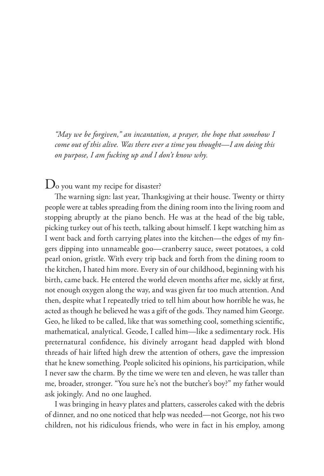*"May we be forgiven," an incantation, a prayer, the hope that somehow I come out of this alive. Was there ever a time you thought—I am doing this on purpose, I am fucking up and I don't know why.*

Do you want my recipe for disaster?

The warning sign: last year, Thanksgiving at their house. Twenty or thirty people were at tables spreading from the dining room into the living room and stopping abruptly at the piano bench. He was at the head of the big table, picking turkey out of his teeth, talking about himself. I kept watching him as I went back and forth carrying plates into the kitchen—the edges of my fingers dipping into unnameable goo—cranberry sauce, sweet potatoes, a cold pearl onion, gristle. With every trip back and forth from the dining room to the kitchen, I hated him more. Every sin of our childhood, beginning with his birth, came back. He entered the world eleven months after me, sickly at first, not enough oxygen along the way, and was given far too much attention. And then, despite what I repeatedly tried to tell him about how horrible he was, he acted as though he believed he was a gift of the gods. They named him George. Geo, he liked to be called, like that was something cool, something scientific, mathematical, analytical. Geode, I called him—like a sedimentary rock. His preternatural confidence, his divinely arrogant head dappled with blond threads of hair lifted high drew the attention of others, gave the impression that he knew something. People solicited his opinions, his participation, while I never saw the charm. By the time we were ten and eleven, he was taller than me, broader, stronger. "You sure he's not the butcher's boy?" my father would ask jokingly. And no one laughed.

I was bringing in heavy plates and platters, casseroles caked with the debris of dinner, and no one noticed that help was needed—not George, not his two children, not his ridiculous friends, who were in fact in his employ, among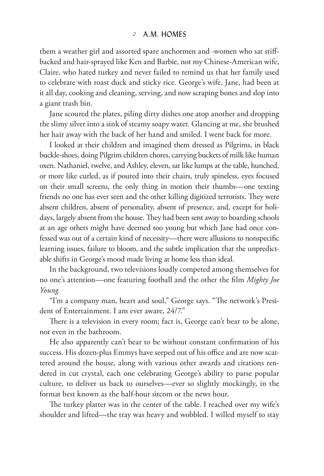them a weather girl and assorted spare anchormen and -women who sat stiffbacked and hair-sprayed like Ken and Barbie, not my Chinese-American wife, Claire, who hated turkey and never failed to remind us that her family used to celebrate with roast duck and sticky rice. George's wife, Jane, had been at it all day, cooking and cleaning, serving, and now scraping bones and slop into a giant trash bin.

Jane scoured the plates, piling dirty dishes one atop another and dropping the slimy silver into a sink of steamy soapy water. Glancing at me, she brushed her hair away with the back of her hand and smiled. I went back for more.

I looked at their children and imagined them dressed as Pilgrims, in black buckle-shoes, doing Pilgrim children chores, carrying buckets of milk like human oxen. Nathaniel, twelve, and Ashley, eleven, sat like lumps at the table, hunched, or more like curled, as if poured into their chairs, truly spineless, eyes focused on their small screens, the only thing in motion their thumbs— one texting friends no one has ever seen and the other killing digitized terrorists. They were absent children, absent of personality, absent of presence, and, except for holidays, largely absent from the house. They had been sent away to boarding schools at an age others might have deemed too young but which Jane had once confessed was out of a certain kind of necessity—there were allusions to nonspecific learning issues, failure to bloom, and the subtle implication that the unpredictable shifts in George's mood made living at home less than ideal.

In the background, two televisions loudly competed among themselves for no one's attention—one featuring football and the other the film *Mighty Joe Young.*

"I'm a company man, heart and soul," George says. "The network's President of Entertainment. I am ever aware, 24/7."

There is a television in every room; fact is, George can't bear to be alone, not even in the bathroom.

He also apparently can't bear to be without constant confirmation of his success. His dozen-plus Emmys have seeped out of his office and are now scattered around the house, along with various other awards and citations rendered in cut crystal, each one celebrating George's ability to parse popular culture, to deliver us back to ourselves—ever so slightly mockingly, in the format best known as the half-hour sitcom or the news hour.

The turkey platter was in the center of the table. I reached over my wife's shoulder and lifted—the tray was heavy and wobbled. I willed myself to stay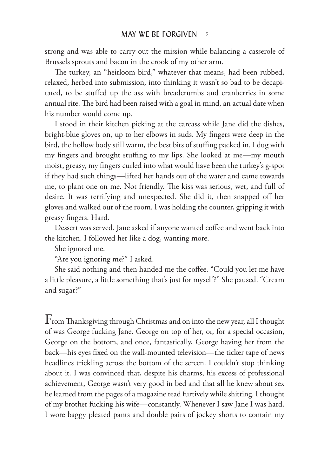strong and was able to carry out the mission while balancing a casserole of Brussels sprouts and bacon in the crook of my other arm.

The turkey, an "heirloom bird," whatever that means, had been rubbed, relaxed, herbed into submission, into thinking it wasn't so bad to be decapitated, to be stuffed up the ass with breadcrumbs and cranberries in some annual rite. The bird had been raised with a goal in mind, an actual date when his number would come up.

I stood in their kitchen picking at the carcass while Jane did the dishes, bright-blue gloves on, up to her elbows in suds. My fingers were deep in the bird, the hollow body still warm, the best bits of stuffing packed in. I dug with my fingers and brought stuffing to my lips. She looked at me—my mouth moist, greasy, my fingers curled into what would have been the turkey's g-spot if they had such things—lifted her hands out of the water and came towards me, to plant one on me. Not friendly. The kiss was serious, wet, and full of desire. It was terrifying and unexpected. She did it, then snapped off her gloves and walked out of the room. I was holding the counter, gripping it with greasy fingers. Hard.

Dessert was served. Jane asked if anyone wanted coffee and went back into the kitchen. I followed her like a dog, wanting more.

She ignored me.

"Are you ignoring me?" I asked.

She said nothing and then handed me the coffee. "Could you let me have a little pleasure, a little something that's just for myself?" She paused. "Cream and sugar?"

From Thanksgiving through Christmas and on into the new year, all I thought of was George fucking Jane. George on top of her, or, for a special occasion, George on the bottom, and once, fantastically, George having her from the back—his eyes fixed on the wall-mounted television—the ticker tape of news headlines trickling across the bottom of the screen. I couldn't stop thinking about it. I was convinced that, despite his charms, his excess of professional achievement, George wasn't very good in bed and that all he knew about sex he learned from the pages of a magazine read furtively while shitting. I thought of my brother fucking his wife—constantly. Whenever I saw Jane I was hard. I wore baggy pleated pants and double pairs of jockey shorts to contain my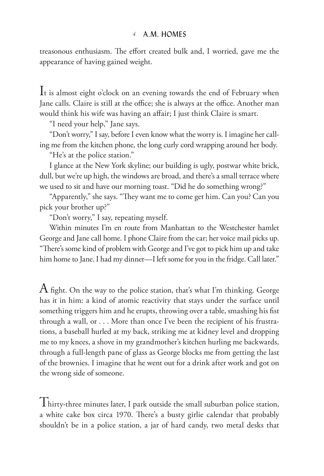treasonous enthusiasm. The effort created bulk and, I worried, gave me the appearance of having gained weight.

It is almost eight o'clock on an evening towards the end of February when Jane calls. Claire is still at the office; she is always at the office. Another man would think his wife was having an affair; I just think Claire is smart.

"I need your help," Jane says.

"Don't worry," I say, before I even know what the worry is. I imagine her calling me from the kitchen phone, the long curly cord wrapping around her body.

"He's at the police station."

I glance at the New York skyline; our building is ugly, postwar white brick, dull, but we're up high, the windows are broad, and there's a small terrace where we used to sit and have our morning toast. "Did he do something wrong?"

"Apparently," she says. "They want me to come get him. Can you? Can you pick your brother up?"

"Don't worry," I say, repeating myself.

Within minutes I'm en route from Manhattan to the Westchester hamlet George and Jane call home. I phone Claire from the car; her voice mail picks up. "There's some kind of problem with George and I've got to pick him up and take him home to Jane. I had my dinner—I left some for you in the fridge. Call later."

 $\rm A$  fight. On the way to the police station, that's what I'm thinking. George has it in him: a kind of atomic reactivity that stays under the surface until something triggers him and he erupts, throwing over a table, smashing his fist through a wall, or . . . More than once I've been the recipient of his frustrations, a baseball hurled at my back, striking me at kidney level and dropping me to my knees, a shove in my grandmother's kitchen hurling me backwards, through a full-length pane of glass as George blocks me from getting the last of the brownies. I imagine that he went out for a drink after work and got on the wrong side of someone.

Thirty-three minutes later, I park outside the small suburban police station, a white cake box circa 1970. There's a busty girlie calendar that probably shouldn't be in a police station, a jar of hard candy, two metal desks that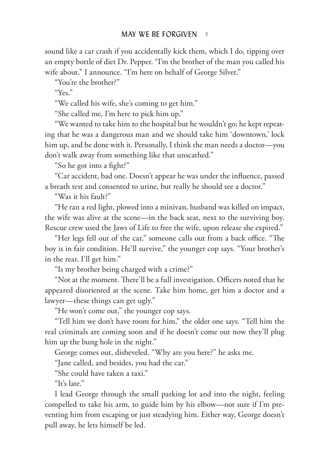sound like a car crash if you accidentally kick them, which I do, tipping over an empty bottle of diet Dr. Pepper. "I'm the brother of the man you called his wife about," I announce. "I'm here on behalf of George Silver."

"You're the brother?"

"Yes."

"We called his wife, she's coming to get him."

"She called me, I'm here to pick him up."

"We wanted to take him to the hospital but he wouldn't go; he kept repeating that he was a dangerous man and we should take him 'downtown,' lock him up, and be done with it. Personally, I think the man needs a doctor—you don't walk away from something like that unscathed."

"So he got into a fight?"

"Car accident, bad one. Doesn't appear he was under the influence, passed a breath test and consented to urine, but really he should see a doctor."

"Was it his fault?"

"He ran a red light, plowed into a minivan, husband was killed on impact, the wife was alive at the scene—in the back seat, next to the surviving boy. Rescue crew used the Jaws of Life to free the wife, upon release she expired."

"Her legs fell out of the car," someone calls out from a back office. "The boy is in fair condition. He'll survive," the younger cop says. "Your brother's in the rear, I'll get him."

"Is my brother being charged with a crime?"

"Not at the moment. There'll be a full investigation. Officers noted that he appeared disoriented at the scene. Take him home, get him a doctor and a lawyer—these things can get ugly."

"He won't come out," the younger cop says.

"Tell him we don't have room for him," the older one says. "Tell him the real criminals are coming soon and if he doesn't come out now they'll plug him up the bung hole in the night."

George comes out, disheveled. "Why are you here?" he asks me.

"Jane called, and besides, you had the car."

"She could have taken a taxi."

"It's late."

I lead George through the small parking lot and into the night, feeling compelled to take his arm, to guide him by his elbow—not sure if I'm preventing him from escaping or just steadying him. Either way, George doesn't pull away, he lets himself be led.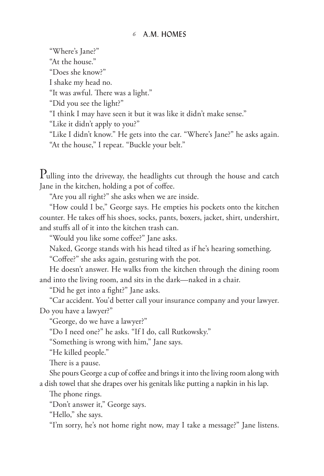"Where's Jane?" "At the house." "Does she know?" I shake my head no. "It was awful. There was a light." "Did you see the light?" "I think I may have seen it but it was like it didn't make sense." "Like it didn't apply to you?" "Like I didn't know." He gets into the car. "Where's Jane?" he asks again. "At the house," I repeat. "Buckle your belt."

Pulling into the driveway, the headlights cut through the house and catch Jane in the kitchen, holding a pot of coffee.

"Are you all right?" she asks when we are inside.

"How could I be," George says. He empties his pockets onto the kitchen counter. He takes off his shoes, socks, pants, boxers, jacket, shirt, undershirt, and stuffs all of it into the kitchen trash can.

"Would you like some coffee?" Jane asks.

Naked, George stands with his head tilted as if he's hearing something.

"Coffee?" she asks again, gesturing with the pot.

He doesn't answer. He walks from the kitchen through the dining room and into the living room, and sits in the dark—naked in a chair.

"Did he get into a fight?" Jane asks.

"Car accident. You'd better call your insurance company and your lawyer. Do you have a lawyer?"

"George, do we have a lawyer?"

"Do I need one?" he asks. "If I do, call Rutkowsky."

"Something is wrong with him," Jane says.

"He killed people."

There is a pause.

She pours George a cup of coffee and brings it into the living room along with a dish towel that she drapes over his genitals like putting a napkin in his lap.

The phone rings.

"Don't answer it," George says.

"Hello," she says.

"I'm sorry, he's not home right now, may I take a message?" Jane listens.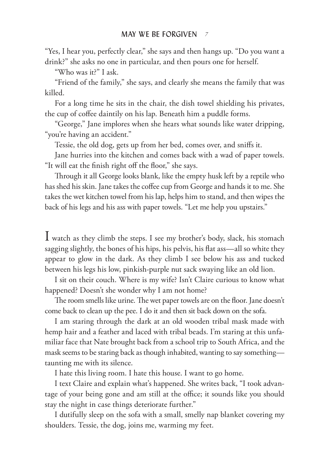## may we be forgiven *7*

"Yes, I hear you, perfectly clear," she says and then hangs up. "Do you want a drink?" she asks no one in particular, and then pours one for herself.

"Who was it?" I ask.

"Friend of the family," she says, and clearly she means the family that was killed.

For a long time he sits in the chair, the dish towel shielding his privates, the cup of coffee daintily on his lap. Beneath him a puddle forms.

"George," Jane implores when she hears what sounds like water dripping, "you're having an accident."

Tessie, the old dog, gets up from her bed, comes over, and sniffs it.

Jane hurries into the kitchen and comes back with a wad of paper towels. "It will eat the finish right off the floor," she says.

Through it all George looks blank, like the empty husk left by a reptile who has shed his skin. Jane takes the coffee cup from George and hands it to me. She takes the wet kitchen towel from his lap, helps him to stand, and then wipes the back of his legs and his ass with paper towels. "Let me help you upstairs."

I watch as they climb the steps. I see my brother's body, slack, his stomach sagging slightly, the bones of his hips, his pelvis, his flat ass—all so white they appear to glow in the dark. As they climb I see below his ass and tucked between his legs his low, pinkish-purple nut sack swaying like an old lion.

I sit on their couch. Where is my wife? Isn't Claire curious to know what happened? Doesn't she wonder why I am not home?

The room smells like urine. The wet paper towels are on the floor. Jane doesn't come back to clean up the pee. I do it and then sit back down on the sofa.

I am staring through the dark at an old wooden tribal mask made with hemp hair and a feather and laced with tribal beads. I'm staring at this unfamiliar face that Nate brought back from a school trip to South Africa, and the mask seems to be staring back as though inhabited, wanting to say something taunting me with its silence.

I hate this living room. I hate this house. I want to go home.

I text Claire and explain what's happened. She writes back, "I took advantage of your being gone and am still at the office; it sounds like you should stay the night in case things deteriorate further."

I dutifully sleep on the sofa with a small, smelly nap blanket covering my shoulders. Tessie, the dog, joins me, warming my feet.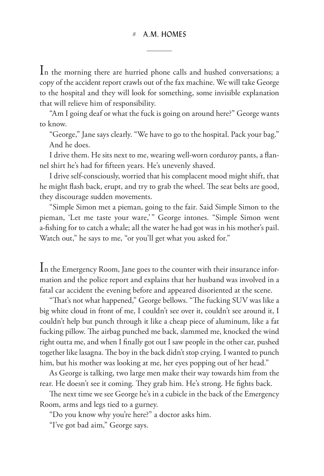In the morning there are hurried phone calls and hushed conversations; a copy of the accident report crawls out of the fax machine. We will take George to the hospital and they will look for something, some invisible explanation that will relieve him of responsibility.

"Am I going deaf or what the fuck is going on around here?" George wants to know.

"George," Jane says clearly. "We have to go to the hospital. Pack your bag." And he does.

I drive them. He sits next to me, wearing well-worn corduroy pants, a flannel shirt he's had for fifteen years. He's unevenly shaved.

I drive self-consciously, worried that his complacent mood might shift, that he might flash back, erupt, and try to grab the wheel. The seat belts are good, they discourage sudden movements.

"Simple Simon met a pieman, going to the fair. Said Simple Simon to the pieman, 'Let me taste your ware,'" George intones. "Simple Simon went a-fishing for to catch a whale; all the water he had got was in his mother's pail. Watch out," he says to me, "or you'll get what you asked for."

In the Emergency Room, Jane goes to the counter with their insurance information and the police report and explains that her husband was involved in a fatal car accident the evening before and appeared disoriented at the scene.

"That's not what happened," George bellows. "The fucking SUV was like a big white cloud in front of me, I couldn't see over it, couldn't see around it, I couldn't help but punch through it like a cheap piece of aluminum, like a fat fucking pillow. The airbag punched me back, slammed me, knocked the wind right outta me, and when I finally got out I saw people in the other car, pushed together like lasagna. The boy in the back didn't stop crying. I wanted to punch him, but his mother was looking at me, her eyes popping out of her head."

As George is talking, two large men make their way towards him from the rear. He doesn't see it coming. They grab him. He's strong. He fights back.

The next time we see George he's in a cubicle in the back of the Emergency Room, arms and legs tied to a gurney.

"Do you know why you're here?" a doctor asks him.

"I've got bad aim," George says.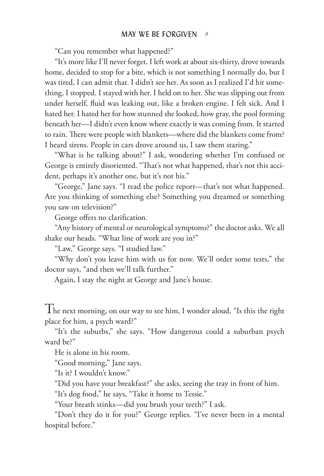"Can you remember what happened?"

"It's more like I'll never forget. I left work at about six-thirty, drove towards home, decided to stop for a bite, which is not something I normally do, but I was tired, I can admit that. I didn't see her. As soon as I realized I'd hit something, I stopped. I stayed with her. I held on to her. She was slipping out from under herself, fluid was leaking out, like a broken engine. I felt sick. And I hated her. I hated her for how stunned she looked, how gray, the pool forming beneath her—I didn't even know where exactly it was coming from. It started to rain. There were people with blankets—where did the blankets come from? I heard sirens. People in cars drove around us, I saw them staring."

"What is he talking about?" I ask, wondering whether I'm confused or George is entirely disoriented. "That's not what happened, that's not this accident, perhaps it's another one, but it's not his."

"George," Jane says. "I read the police report—that's not what happened. Are you thinking of something else? Something you dreamed or something you saw on television?"

George offers no clarification.

"Any history of mental or neurological symptoms?" the doctor asks. We all shake our heads. "What line of work are you in?"

"Law," George says. "I studied law."

"Why don't you leave him with us for now. We'll order some tests," the doctor says, "and then we'll talk further."

Again, I stay the night at George and Jane's house.

The next morning, on our way to see him, I wonder aloud, "Is this the right place for him, a psych ward?"

"It's the suburbs," she says. "How dangerous could a suburban psych ward be?"

He is alone in his room.

"Good morning," Jane says.

"Is it? I wouldn't know."

"Did you have your breakfast?" she asks, seeing the tray in front of him.

"It's dog food," he says, "Take it home to Tessie."

"Your breath stinks—did you brush your teeth?" I ask.

"Don't they do it for you?" George replies. "I've never been in a mental hospital before."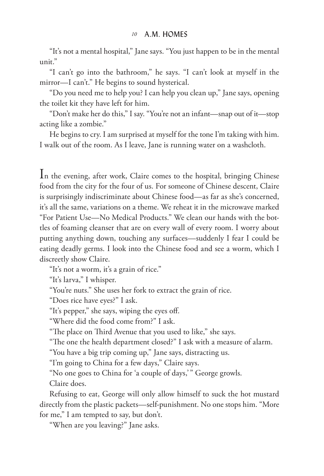"It's not a mental hospital," Jane says. "You just happen to be in the mental unit."

"I can't go into the bathroom," he says. "I can't look at myself in the mirror—I can't." He begins to sound hysterical.

"Do you need me to help you? I can help you clean up," Jane says, opening the toilet kit they have left for him.

"Don't make her do this," I say. "You're not an infant—snap out of it—stop acting like a zombie."

He begins to cry. I am surprised at myself for the tone I'm taking with him. I walk out of the room. As I leave, Jane is running water on a washcloth.

In the evening, after work, Claire comes to the hospital, bringing Chinese food from the city for the four of us. For someone of Chinese descent, Claire is surprisingly indiscriminate about Chinese food—as far as she's concerned, it's all the same, variations on a theme. We reheat it in the microwave marked "For Patient Use—No Medical Products." We clean our hands with the bottles of foaming cleanser that are on every wall of every room. I worry about putting anything down, touching any surfaces—suddenly I fear I could be eating deadly germs. I look into the Chinese food and see a worm, which I discreetly show Claire.

"It's not a worm, it's a grain of rice."

"It's larva," I whisper.

"You're nuts." She uses her fork to extract the grain of rice.

"Does rice have eyes?" I ask.

"It's pepper," she says, wiping the eyes off.

"Where did the food come from?" I ask.

"The place on Third Avenue that you used to like," she says.

"The one the health department closed?" I ask with a measure of alarm.

"You have a big trip coming up," Jane says, distracting us.

"I'm going to China for a few days," Claire says.

"No one goes to China for 'a couple of days,'" George growls. Claire does.

Refusing to eat, George will only allow himself to suck the hot mustard directly from the plastic packets—self-punishment. No one stops him. "More for me," I am tempted to say, but don't.

"When are you leaving?" Jane asks.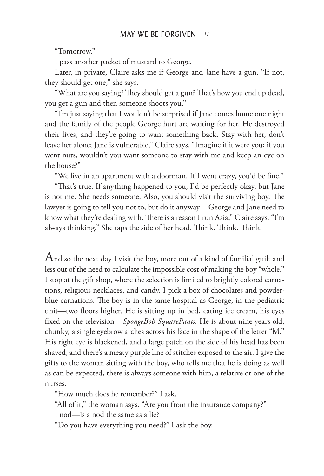"Tomorrow."

I pass another packet of mustard to George.

Later, in private, Claire asks me if George and Jane have a gun. "If not, they should get one," she says.

"What are you saying? They should get a gun? That's how you end up dead, you get a gun and then someone shoots you."

"I'm just saying that I wouldn't be surprised if Jane comes home one night and the family of the people George hurt are waiting for her. He destroyed their lives, and they're going to want something back. Stay with her, don't leave her alone; Jane is vulnerable," Claire says. "Imagine if it were you; if you went nuts, wouldn't you want someone to stay with me and keep an eye on the house?"

"We live in an apartment with a doorman. If I went crazy, you'd be fine."

"That's true. If anything happened to you, I'd be perfectly okay, but Jane is not me. She needs someone. Also, you should visit the surviving boy. The lawyer is going to tell you not to, but do it anyway—George and Jane need to know what they're dealing with. There is a reason I run Asia," Claire says. "I'm always thinking." She taps the side of her head. Think. Think. Think.

 $A$ nd so the next day I visit the boy, more out of a kind of familial guilt and less out of the need to calculate the impossible cost of making the boy "whole." I stop at the gift shop, where the selection is limited to brightly colored carnations, religious necklaces, and candy. I pick a box of chocolates and powderblue carnations. The boy is in the same hospital as George, in the pediatric unit—two floors higher. He is sitting up in bed, eating ice cream, his eyes fixed on the television—*SpongeBob SquarePants*. He is about nine years old, chunky, a single eyebrow arches across his face in the shape of the letter "M." His right eye is blackened, and a large patch on the side of his head has been shaved, and there's a meaty purple line of stitches exposed to the air. I give the gifts to the woman sitting with the boy, who tells me that he is doing as well as can be expected, there is always someone with him, a relative or one of the nurses.

"How much does he remember?" I ask.

"All of it," the woman says. "Are you from the insurance company?"

I nod—is a nod the same as a lie?

"Do you have everything you need?" I ask the boy.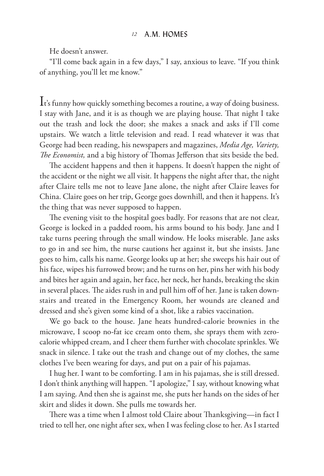He doesn't answer.

"I'll come back again in a few days," I say, anxious to leave. "If you think of anything, you'll let me know."

It's funny how quickly something becomes a routine, a way of doing business. I stay with Jane, and it is as though we are playing house. That night I take out the trash and lock the door; she makes a snack and asks if I'll come upstairs. We watch a little television and read. I read whatever it was that George had been reading, his newspapers and magazines, *Media Age, Variety, The Economist,* and a big history of Thomas Jefferson that sits beside the bed.

The accident happens and then it happens. It doesn't happen the night of the accident or the night we all visit. It happens the night after that, the night after Claire tells me not to leave Jane alone, the night after Claire leaves for China. Claire goes on her trip, George goes downhill, and then it happens. It's the thing that was never supposed to happen.

The evening visit to the hospital goes badly. For reasons that are not clear, George is locked in a padded room, his arms bound to his body. Jane and I take turns peering through the small window. He looks miserable. Jane asks to go in and see him, the nurse cautions her against it, but she insists. Jane goes to him, calls his name. George looks up at her; she sweeps his hair out of his face, wipes his furrowed brow; and he turns on her, pins her with his body and bites her again and again, her face, her neck, her hands, breaking the skin in several places. The aides rush in and pull him off of her. Jane is taken downstairs and treated in the Emergency Room, her wounds are cleaned and dressed and she's given some kind of a shot, like a rabies vaccination.

We go back to the house. Jane heats hundred-calorie brownies in the microwave, I scoop no-fat ice cream onto them, she sprays them with zerocalorie whipped cream, and I cheer them further with chocolate sprinkles. We snack in silence. I take out the trash and change out of my clothes, the same clothes I've been wearing for days, and put on a pair of his pajamas.

I hug her. I want to be comforting. I am in his pajamas, she is still dressed. I don't think anything will happen. "I apologize," I say, without knowing what I am saying. And then she is against me, she puts her hands on the sides of her skirt and slides it down. She pulls me towards her.

There was a time when I almost told Claire about Thanksgiving—in fact I tried to tell her, one night after sex, when I was feeling close to her. As I started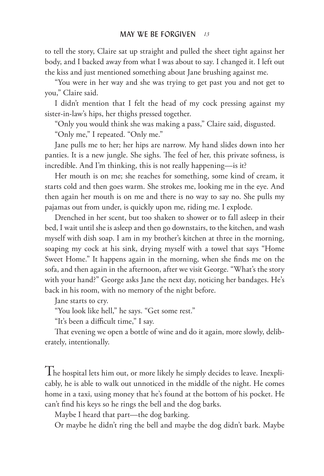to tell the story, Claire sat up straight and pulled the sheet tight against her body, and I backed away from what I was about to say. I changed it. I left out the kiss and just mentioned something about Jane brushing against me.

"You were in her way and she was trying to get past you and not get to you," Claire said.

I didn't mention that I felt the head of my cock pressing against my sister-in-law's hips, her thighs pressed together.

"Only you would think she was making a pass," Claire said, disgusted.

"Only me," I repeated. "Only me."

Jane pulls me to her; her hips are narrow. My hand slides down into her panties. It is a new jungle. She sighs. The feel of her, this private softness, is incredible. And I'm thinking, this is not really happening—is it?

Her mouth is on me; she reaches for something, some kind of cream, it starts cold and then goes warm. She strokes me, looking me in the eye. And then again her mouth is on me and there is no way to say no. She pulls my pajamas out from under, is quickly upon me, riding me. I explode.

Drenched in her scent, but too shaken to shower or to fall asleep in their bed, I wait until she is asleep and then go downstairs, to the kitchen, and wash myself with dish soap. I am in my brother's kitchen at three in the morning, soaping my cock at his sink, drying myself with a towel that says "Home Sweet Home." It happens again in the morning, when she finds me on the sofa, and then again in the afternoon, after we visit George. "What's the story with your hand?" George asks Jane the next day, noticing her bandages. He's back in his room, with no memory of the night before.

Jane starts to cry.

"You look like hell," he says. "Get some rest."

"It's been a difficult time," I say.

That evening we open a bottle of wine and do it again, more slowly, deliberately, intentionally.

The hospital lets him out, or more likely he simply decides to leave. Inexplicably, he is able to walk out unnoticed in the middle of the night. He comes home in a taxi, using money that he's found at the bottom of his pocket. He can't find his keys so he rings the bell and the dog barks.

Maybe I heard that part—the dog barking.

Or maybe he didn't ring the bell and maybe the dog didn't bark. Maybe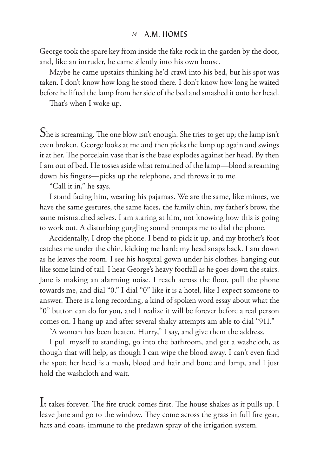George took the spare key from inside the fake rock in the garden by the door, and, like an intruder, he came silently into his own house.

Maybe he came upstairs thinking he'd crawl into his bed, but his spot was taken. I don't know how long he stood there. I don't know how long he waited before he lifted the lamp from her side of the bed and smashed it onto her head.

That's when I woke up.

She is screaming. The one blow isn't enough. She tries to get up; the lamp isn't even broken. George looks at me and then picks the lamp up again and swings it at her. The porcelain vase that is the base explodes against her head. By then I am out of bed. He tosses aside what remained of the lamp—blood streaming down his fingers—picks up the telephone, and throws it to me.

"Call it in," he says.

I stand facing him, wearing his pajamas. We are the same, like mimes, we have the same gestures, the same faces, the family chin, my father's brow, the same mismatched selves. I am staring at him, not knowing how this is going to work out. A disturbing gurgling sound prompts me to dial the phone.

Accidentally, I drop the phone. I bend to pick it up, and my brother's foot catches me under the chin, kicking me hard; my head snaps back. I am down as he leaves the room. I see his hospital gown under his clothes, hanging out like some kind of tail. I hear George's heavy footfall as he goes down the stairs. Jane is making an alarming noise. I reach across the floor, pull the phone towards me, and dial "0." I dial "0" like it is a hotel, like I expect someone to answer. There is a long recording, a kind of spoken word essay about what the "0" button can do for you, and I realize it will be forever before a real person comes on. I hang up and after several shaky attempts am able to dial "911."

"A woman has been beaten. Hurry," I say, and give them the address.

I pull myself to standing, go into the bathroom, and get a washcloth, as though that will help, as though I can wipe the blood away. I can't even find the spot; her head is a mash, blood and hair and bone and lamp, and I just hold the washcloth and wait.

It takes forever. The fire truck comes first. The house shakes as it pulls up. I leave Jane and go to the window. They come across the grass in full fire gear, hats and coats, immune to the predawn spray of the irrigation system.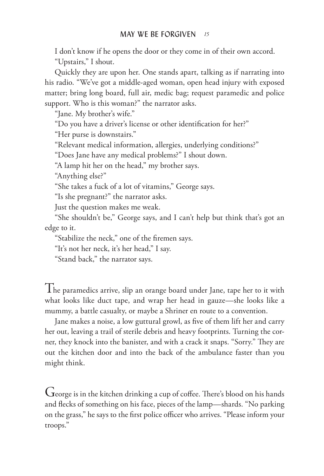I don't know if he opens the door or they come in of their own accord.

"Upstairs," I shout.

Quickly they are upon her. One stands apart, talking as if narrating into his radio. "We've got a middle-aged woman, open head injury with exposed matter; bring long board, full air, medic bag; request paramedic and police support. Who is this woman?" the narrator asks.

"Jane. My brother's wife."

"Do you have a driver's license or other identification for her?"

"Her purse is downstairs."

"Relevant medical information, allergies, underlying conditions?"

"Does Jane have any medical problems?" I shout down.

"A lamp hit her on the head," my brother says.

"Anything else?"

"She takes a fuck of a lot of vitamins," George says.

"Is she pregnant?" the narrator asks.

Just the question makes me weak.

"She shouldn't be," George says, and I can't help but think that's got an edge to it.

"Stabilize the neck," one of the firemen says.

"It's not her neck, it's her head," I say.

"Stand back," the narrator says.

The paramedics arrive, slip an orange board under Jane, tape her to it with what looks like duct tape, and wrap her head in gauze— she looks like a mummy, a battle casualty, or maybe a Shriner en route to a convention.

Jane makes a noise, a low guttural growl, as five of them lift her and carry her out, leaving a trail of sterile debris and heavy footprints. Turning the corner, they knock into the banister, and with a crack it snaps. "Sorry." They are out the kitchen door and into the back of the ambulance faster than you might think.

George is in the kitchen drinking a cup of coffee. There's blood on his hands and flecks of something on his face, pieces of the lamp—shards. "No parking on the grass," he says to the first police officer who arrives. "Please inform your troops."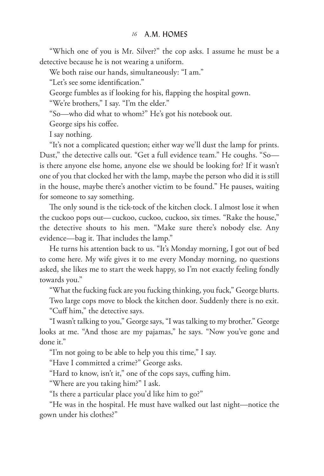"Which one of you is Mr. Silver?" the cop asks. I assume he must be a detective because he is not wearing a uniform.

We both raise our hands, simultaneously: "I am."

"Let's see some identification."

George fumbles as if looking for his, flapping the hospital gown.

"We're brothers," I say. "I'm the elder."

"So—who did what to whom?" He's got his notebook out.

George sips his coffee.

I say nothing.

"It's not a complicated question; either way we'll dust the lamp for prints. Dust," the detective calls out. "Get a full evidence team." He coughs. "So is there anyone else home, anyone else we should be looking for? If it wasn't one of you that clocked her with the lamp, maybe the person who did it is still in the house, maybe there's another victim to be found." He pauses, waiting for someone to say something.

The only sound is the tick-tock of the kitchen clock. I almost lose it when the cuckoo pops out— cuckoo, cuckoo, cuckoo, six times. "Rake the house," the detective shouts to his men. "Make sure there's nobody else. Any evidence—bag it. That includes the lamp."

He turns his attention back to us. "It's Monday morning, I got out of bed to come here. My wife gives it to me every Monday morning, no questions asked, she likes me to start the week happy, so I'm not exactly feeling fondly towards you."

"What the fucking fuck are you fucking thinking, you fuck," George blurts.

Two large cops move to block the kitchen door. Suddenly there is no exit. "Cuff him," the detective says.

"I wasn't talking to you," George says, "I was talking to my brother." George looks at me. "And those are my pajamas," he says. "Now you've gone and done it."

"I'm not going to be able to help you this time," I say.

"Have I committed a crime?" George asks.

"Hard to know, isn't it," one of the cops says, cuffing him.

"Where are you taking him?" I ask.

"Is there a particular place you'd like him to go?"

"He was in the hospital. He must have walked out last night—notice the gown under his clothes?"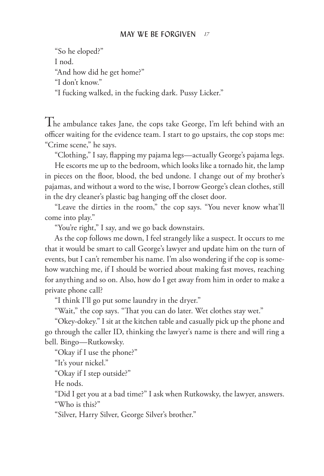### MAY WF BF FORGIVEN 17

"So he eloped?" I nod. "And how did he get home?" "I don't know." "I fucking walked, in the fucking dark. Pussy Licker."

The ambulance takes Jane, the cops take George, I'm left behind with an officer waiting for the evidence team. I start to go upstairs, the cop stops me: "Crime scene," he says.

"Clothing," I say, flapping my pajama legs—actually George's pajama legs.

He escorts me up to the bedroom, which looks like a tornado hit, the lamp in pieces on the floor, blood, the bed undone. I change out of my brother's pajamas, and without a word to the wise, I borrow George's clean clothes, still in the dry cleaner's plastic bag hanging off the closet door.

"Leave the dirties in the room," the cop says. "You never know what'll come into play."

"You're right," I say, and we go back downstairs.

As the cop follows me down, I feel strangely like a suspect. It occurs to me that it would be smart to call George's lawyer and update him on the turn of events, but I can't remember his name. I'm also wondering if the cop is somehow watching me, if I should be worried about making fast moves, reaching for anything and so on. Also, how do I get away from him in order to make a private phone call?

"I think I'll go put some laundry in the dryer."

"Wait," the cop says. "That you can do later. Wet clothes stay wet."

"Okey-dokey." I sit at the kitchen table and casually pick up the phone and go through the caller ID, thinking the lawyer's name is there and will ring a bell. Bingo—Rutkowsky.

"Okay if I use the phone?"

"It's your nickel."

"Okay if I step outside?"

He nods.

"Did I get you at a bad time?" I ask when Rutkowsky, the lawyer, answers. "Who is this?"

"Silver, Harry Silver, George Silver's brother."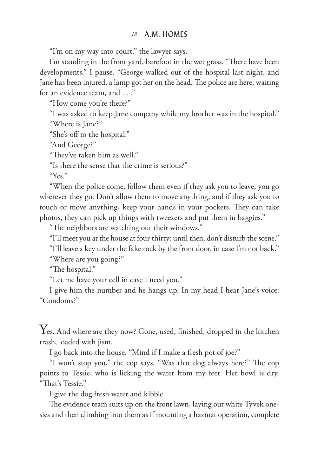"I'm on my way into court," the lawyer says.

I'm standing in the front yard, barefoot in the wet grass. "There have been developments." I pause. "George walked out of the hospital last night, and Jane has been injured, a lamp got her on the head. The police are here, waiting for an evidence team, and . . ."

"How come you're there?"

"I was asked to keep Jane company while my brother was in the hospital." "Where is Jane?"

"She's off to the hospital."

"And George?"

"They've taken him as well."

"Is there the sense that the crime is serious?"

"Yes."

"When the police come, follow them even if they ask you to leave, you go wherever they go. Don't allow them to move anything, and if they ask you to touch or move anything, keep your hands in your pockets. They can take photos, they can pick up things with tweezers and put them in baggies."

"The neighbors are watching out their windows."

"I'll meet you at the house at four-thirty; until then, don't disturb the scene."

"I'll leave a key under the fake rock by the front door, in case I'm not back."

"Where are you going?"

"The hospital."

"Let me have your cell in case I need you."

I give him the number and he hangs up. In my head I hear Jane's voice: "Condoms?"

Yes. And where are they now? Gone, used, finished, dropped in the kitchen trash, loaded with jism.

I go back into the house. "Mind if I make a fresh pot of joe?"

"I won't stop you," the cop says. "Was that dog always here?" The cop points to Tessie, who is licking the water from my feet. Her bowl is dry. "That's Tessie."

I give the dog fresh water and kibble.

The evidence team suits up on the front lawn, laying out white Tyvek onesies and then climbing into them as if mounting a hazmat operation, complete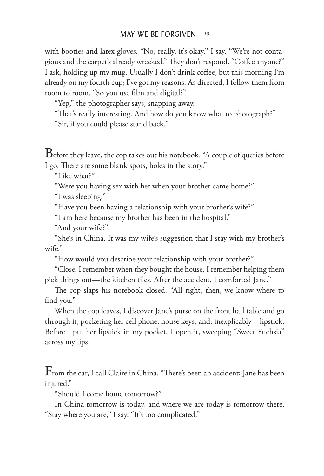with booties and latex gloves. "No, really, it's okay," I say. "We're not contagious and the carpet's already wrecked." They don't respond. "Coffee anyone?" I ask, holding up my mug. Usually I don't drink coffee, but this morning I'm already on my fourth cup; I've got my reasons. As directed, I follow them from room to room. "So you use film and digital?"

"Yep," the photographer says, snapping away.

"That's really interesting. And how do you know what to photograph?"

"Sir, if you could please stand back."

Before they leave, the cop takes out his notebook. "A couple of queries before I go. There are some blank spots, holes in the story."

"Like what?"

"Were you having sex with her when your brother came home?"

"I was sleeping."

"Have you been having a relationship with your brother's wife?"

"I am here because my brother has been in the hospital."

"And your wife?"

"She's in China. It was my wife's suggestion that I stay with my brother's wife."

"How would you describe your relationship with your brother?"

"Close. I remember when they bought the house. I remember helping them pick things out—the kitchen tiles. After the accident, I comforted Jane."

The cop slaps his notebook closed. "All right, then, we know where to find you."

When the cop leaves, I discover Jane's purse on the front hall table and go through it, pocketing her cell phone, house keys, and, inexplicably—lipstick. Before I put her lipstick in my pocket, I open it, sweeping "Sweet Fuchsia" across my lips.

From the car, I call Claire in China. "There's been an accident; Jane has been injured."

"Should I come home tomorrow?"

In China tomorrow is today, and where we are today is tomorrow there. "Stay where you are," I say. "It's too complicated."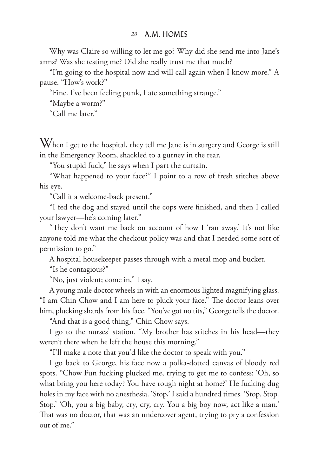Why was Claire so willing to let me go? Why did she send me into Jane's arms? Was she testing me? Did she really trust me that much?

"I'm going to the hospital now and will call again when I know more." A pause. "How's work?"

"Fine. I've been feeling punk, I ate something strange."

"Maybe a worm?"

"Call me later."

When I get to the hospital, they tell me Jane is in surgery and George is still in the Emergency Room, shackled to a gurney in the rear.

"You stupid fuck," he says when I part the curtain.

"What happened to your face?" I point to a row of fresh stitches above his eye.

"Call it a welcome-back present."

"I fed the dog and stayed until the cops were finished, and then I called your lawyer—he's coming later."

"They don't want me back on account of how I 'ran away.' It's not like anyone told me what the checkout policy was and that I needed some sort of permission to go."

A hospital housekeeper passes through with a metal mop and bucket.

"Is he contagious?"

"No, just violent; come in," I say.

A young male doctor wheels in with an enormous lighted magnifying glass. "I am Chin Chow and I am here to pluck your face." The doctor leans over him, plucking shards from his face. "You've got no tits," George tells the doctor.

"And that is a good thing," Chin Chow says.

I go to the nurses' station. "My brother has stitches in his head—they weren't there when he left the house this morning."

"I'll make a note that you'd like the doctor to speak with you."

I go back to George, his face now a polka-dotted canvas of bloody red spots. "Chow Fun fucking plucked me, trying to get me to confess: 'Oh, so what bring you here today? You have rough night at home?' He fucking dug holes in my face with no anesthesia. 'Stop,' I said a hundred times. 'Stop. Stop. Stop.' 'Oh, you a big baby, cry, cry, cry. You a big boy now, act like a man.' That was no doctor, that was an undercover agent, trying to pry a confession out of me."